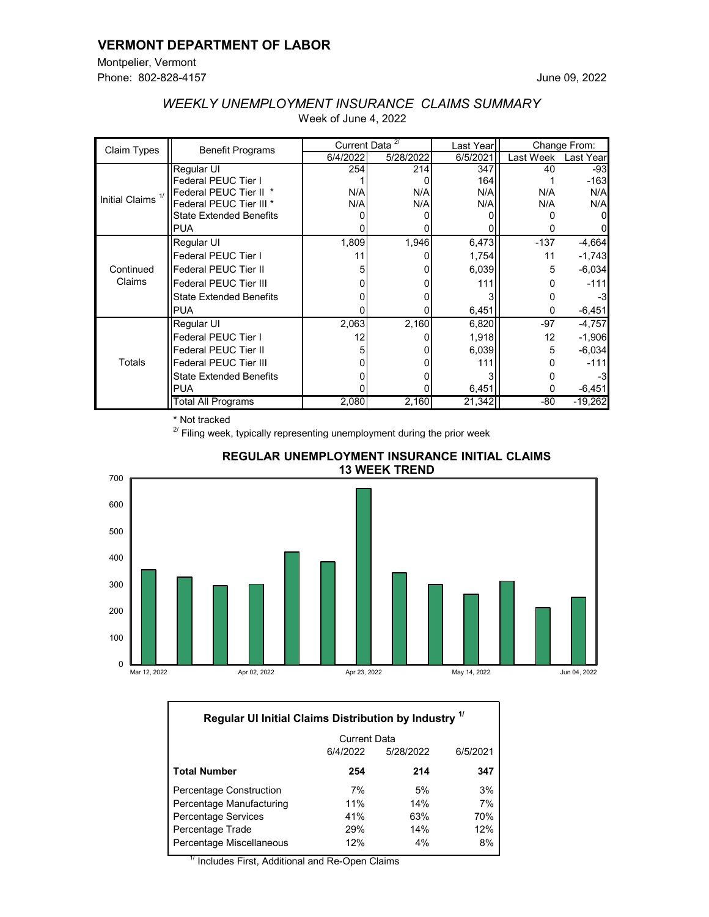### **VERMONT DEPARTMENT OF LABOR**

Montpelier, Vermont Phone: 802-828-4157

| Claim Types                  | <b>Benefit Programs</b>        | Current Data <sup>2/</sup> |           | Last Year | Change From: |           |
|------------------------------|--------------------------------|----------------------------|-----------|-----------|--------------|-----------|
|                              |                                | 6/4/2022                   | 5/28/2022 | 6/5/2021  | Last Week    | Last Year |
| Initial Claims <sup>1/</sup> | Regular UI                     | 254                        | 214       | 347       | 40           | $-93$     |
|                              | Federal PEUC Tier I            |                            |           | 164       |              | $-163$    |
|                              | Federal PEUC Tier II *         | N/A                        | N/A       | N/A       | N/A          | N/A       |
|                              | Federal PEUC Tier III *        | N/A                        | N/A       | N/A       | N/A          | N/A       |
|                              | <b>State Extended Benefits</b> |                            |           |           |              |           |
|                              | <b>PUA</b>                     |                            |           |           |              |           |
| Continued<br>Claims          | Regular UI                     | 1,809                      | 1,946     | 6,473     | $-137$       | $-4,664$  |
|                              | Federal PEUC Tier I            | 11                         |           | 1,754     | 11           | $-1,743$  |
|                              | <b>Federal PEUC Tier II</b>    |                            |           | 6,039     | 5            | $-6,034$  |
|                              | <b>Federal PEUC Tier III</b>   |                            |           | 111       |              | $-111$    |
|                              | <b>State Extended Benefits</b> |                            |           |           |              | -3        |
|                              | <b>IPUA</b>                    |                            |           | 6,451     | 0            | $-6,451$  |
| Totals                       | Regular UI                     | 2,063                      | 2,160     | 6,820     | $-97$        | $-4,757$  |
|                              | Federal PEUC Tier I            | 12                         |           | 1,918     | 12           | $-1,906$  |
|                              | <b>Federal PEUC Tier II</b>    |                            |           | 6,039     | 5            | $-6,034$  |
|                              | <b>Federal PEUC Tier III</b>   |                            |           | 111       |              | $-111$    |
|                              | <b>State Extended Benefits</b> |                            |           |           |              |           |
|                              | <b>PUA</b>                     |                            |           | 6,451     | 0            | $-6,451$  |
|                              | Total All Programs             | 2,080                      | 2,160     | 21,342    | $-80$        | $-19,262$ |

# *WEEKLY UNEMPLOYMENT INSURANCE CLAIMS SUMMARY* Week of June 4, 2022

\* Not tracked

 $2^{2}$  Filing week, typically representing unemployment during the prior week





| Regular UI Initial Claims Distribution by Industry <sup>1/</sup> |                     |           |          |  |  |  |  |  |  |
|------------------------------------------------------------------|---------------------|-----------|----------|--|--|--|--|--|--|
|                                                                  | <b>Current Data</b> |           |          |  |  |  |  |  |  |
|                                                                  | 6/4/2022            | 5/28/2022 | 6/5/2021 |  |  |  |  |  |  |
| <b>Total Number</b>                                              | 254                 | 214       | 347      |  |  |  |  |  |  |
| Percentage Construction                                          | 7%                  | 5%        | 3%       |  |  |  |  |  |  |
| Percentage Manufacturing                                         | 11%                 | 14%       | 7%       |  |  |  |  |  |  |
| Percentage Services                                              | 41%                 | 63%       | 70%      |  |  |  |  |  |  |
| Percentage Trade                                                 | 29%                 | 14%       | 12%      |  |  |  |  |  |  |
| Percentage Miscellaneous                                         | 12%                 | 4%        | 8%       |  |  |  |  |  |  |

 $^{\prime\prime}$  Includes First, Additional and Re-Open Claims